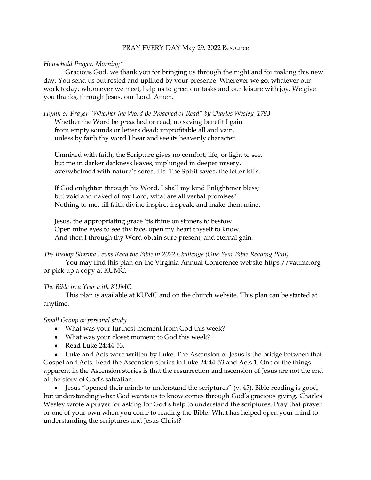# PRAY EVERY DAY May 29, 2022 Resource

# *Household Prayer: Morning\**

Gracious God, we thank you for bringing us through the night and for making this new day. You send us out rested and uplifted by your presence. Wherever we go, whatever our work today, whomever we meet, help us to greet our tasks and our leisure with joy. We give you thanks, through Jesus, our Lord. Amen.

*Hymn or Prayer "Whether the Word Be Preached or Read" by Charles Wesley, 1783*

Whether the Word be preached or read, no saving benefit I gain from empty sounds or letters dead; unprofitable all and vain, unless by faith thy word I hear and see its heavenly character.

Unmixed with faith, the Scripture gives no comfort, life, or light to see, but me in darker darkness leaves, implunged in deeper misery, overwhelmed with nature's sorest ills. The Spirit saves, the letter kills.

If God enlighten through his Word, I shall my kind Enlightener bless; but void and naked of my Lord, what are all verbal promises? Nothing to me, till faith divine inspire, inspeak, and make them mine.

Jesus, the appropriating grace 'tis thine on sinners to bestow. Open mine eyes to see thy face, open my heart thyself to know. And then I through thy Word obtain sure present, and eternal gain.

*The Bishop Sharma Lewis Read the Bible in 2022 Challenge (One Year Bible Reading Plan)*

You may find this plan on the Virginia Annual Conference website [https://vaumc.org](https://vaumc.org/) or pick up a copy at KUMC.

# *The Bible in a Year with KUMC*

This plan is available at KUMC and on the church website. This plan can be started at anytime.

### *Small Group or personal study*

- What was your furthest moment from God this week?
- What was your closet moment to God this week?
- Read Luke 24:44-53.

• Luke and Acts were written by Luke. The Ascension of Jesus is the bridge between that Gospel and Acts. Read the Ascension stories in Luke 24:44-53 and Acts 1. One of the things apparent in the Ascension stories is that the resurrection and ascension of Jesus are not the end of the story of God's salvation.

• Jesus "opened their minds to understand the scriptures" (v. 45). Bible reading is good, but understanding what God wants us to know comes through God's gracious giving. Charles Wesley wrote a prayer for asking for God's help to understand the scriptures. Pray that prayer or one of your own when you come to reading the Bible. What has helped open your mind to understanding the scriptures and Jesus Christ?